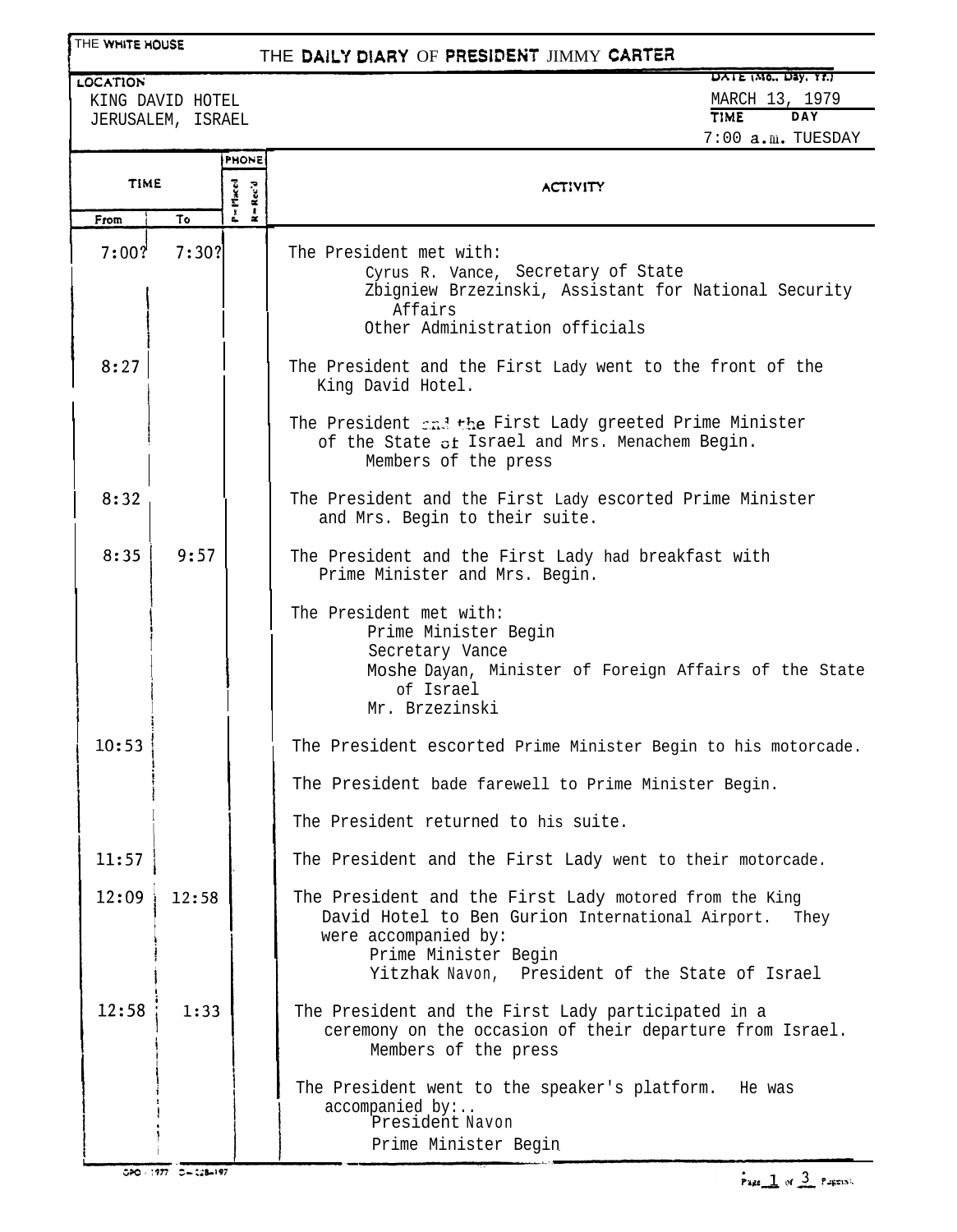|                 | THE WHITE HOUSE<br>THE DAILY DIARY OF PRESIDENT JIMMY CARTER |       |                              |                                                                                                                                                                                                               |                                             |  |
|-----------------|--------------------------------------------------------------|-------|------------------------------|---------------------------------------------------------------------------------------------------------------------------------------------------------------------------------------------------------------|---------------------------------------------|--|
| <b>LOCATION</b> |                                                              |       |                              |                                                                                                                                                                                                               | DATE (Mo., Day, Yr.)                        |  |
|                 | KING DAVID HOTEL<br>JERUSALEM, ISRAEL                        |       |                              |                                                                                                                                                                                                               | MARCH 13, 1979<br><b>TIME</b><br><b>DAY</b> |  |
|                 |                                                              |       |                              |                                                                                                                                                                                                               | $7:00$ a.m. TUESDAY                         |  |
|                 |                                                              |       | <b>PHONE</b>                 |                                                                                                                                                                                                               |                                             |  |
|                 | <b>TIME</b>                                                  |       |                              | <b>ACTIVITY</b>                                                                                                                                                                                               |                                             |  |
|                 | From                                                         | To    | $P = 1$ Taced<br>$R = Rcc'd$ |                                                                                                                                                                                                               |                                             |  |
|                 |                                                              |       |                              |                                                                                                                                                                                                               |                                             |  |
|                 | 7:00?                                                        | 7:30? |                              | The President met with:<br>Cyrus R. Vance, Secretary of State                                                                                                                                                 |                                             |  |
|                 |                                                              |       |                              | Zbigniew Brzezinski, Assistant for National Security                                                                                                                                                          |                                             |  |
|                 |                                                              |       |                              | Affairs                                                                                                                                                                                                       |                                             |  |
|                 |                                                              |       |                              | Other Administration officials                                                                                                                                                                                |                                             |  |
|                 | 8:27                                                         |       |                              | The President and the First Lady went to the front of the<br>King David Hotel.                                                                                                                                |                                             |  |
|                 |                                                              |       |                              | The President and the First Lady greeted Prime Minister<br>of the State of Israel and Mrs. Menachem Begin.<br>Members of the press                                                                            |                                             |  |
|                 | 8:32                                                         |       |                              | The President and the First Lady escorted Prime Minister<br>and Mrs. Begin to their suite.                                                                                                                    |                                             |  |
|                 | 8:35                                                         | 9:57  |                              | The President and the First Lady had breakfast with<br>Prime Minister and Mrs. Begin.                                                                                                                         |                                             |  |
|                 |                                                              |       |                              | The President met with:<br>Prime Minister Begin<br>Secretary Vance<br>Moshe Dayan, Minister of Foreign Affairs of the State<br>of Israel<br>Mr. Brzezinski                                                    |                                             |  |
|                 | 10:53                                                        |       |                              | The President escorted Prime Minister Begin to his motorcade.                                                                                                                                                 |                                             |  |
|                 |                                                              |       |                              |                                                                                                                                                                                                               |                                             |  |
|                 |                                                              |       |                              | The President bade farewell to Prime Minister Begin.                                                                                                                                                          |                                             |  |
|                 |                                                              |       |                              | The President returned to his suite.                                                                                                                                                                          |                                             |  |
|                 | 11:57                                                        |       |                              | The President and the First Lady went to their motorcade.                                                                                                                                                     |                                             |  |
|                 | 12:09                                                        | 12:58 |                              | The President and the First Lady motored from the King<br>David Hotel to Ben Gurion International Airport.<br>were accompanied by:<br>Prime Minister Begin<br>Yitzhak Navon, President of the State of Israel | They                                        |  |
|                 | 12:58                                                        | 1:33  |                              | The President and the First Lady participated in a<br>ceremony on the occasion of their departure from Israel.<br>Members of the press                                                                        |                                             |  |

The President went to the speaker's platform. He was accompanied by:.. President Navon Prime Minister Begin

I i I i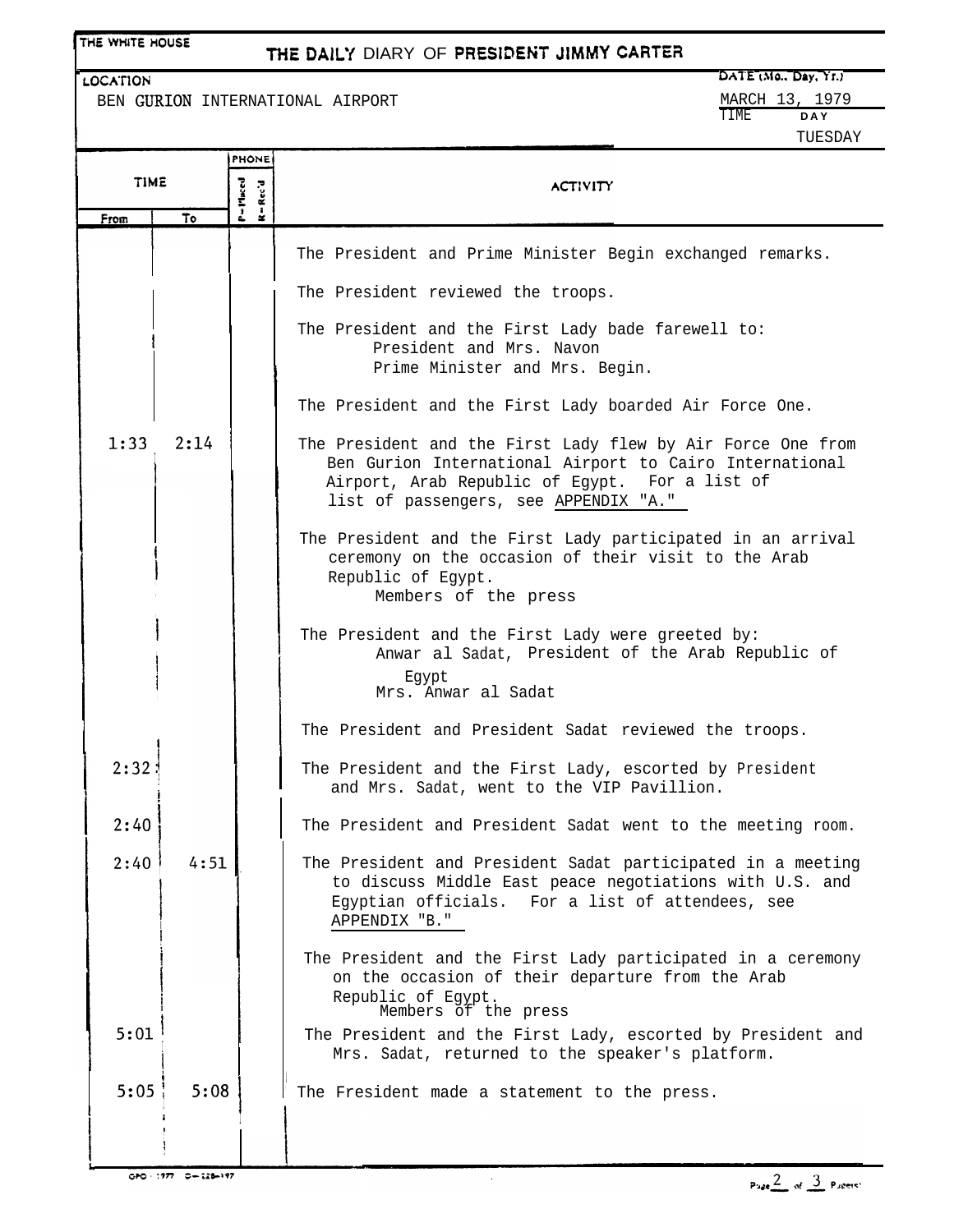|  |  |  | THE WHITE HOUSE |
|--|--|--|-----------------|
|--|--|--|-----------------|

## THE DAILY DIARY OF PRESIDENT JIMMY CARTER

LOCATION

BEN GURION INTERNATIONAL AIRPORT

 $\overline{\text{DATE}$  (Mo., Day, Yr.) **MARCH 13, 1979**<br>TIME **DAY** TUESDAY

| <b>TIME</b> |      | <b>PHONE</b>                        |                                                                                                                                                                                                                   |  |
|-------------|------|-------------------------------------|-------------------------------------------------------------------------------------------------------------------------------------------------------------------------------------------------------------------|--|
|             |      | P=Pluced<br>Rec'd<br>$\overline{1}$ | <b>ACTIVITY</b>                                                                                                                                                                                                   |  |
| From        | To   |                                     |                                                                                                                                                                                                                   |  |
|             |      |                                     | The President and Prime Minister Begin exchanged remarks.                                                                                                                                                         |  |
|             |      |                                     | The President reviewed the troops.                                                                                                                                                                                |  |
|             |      |                                     | The President and the First Lady bade farewell to:<br>President and Mrs. Navon<br>Prime Minister and Mrs. Begin.                                                                                                  |  |
|             |      |                                     | The President and the First Lady boarded Air Force One.                                                                                                                                                           |  |
| 1:33        | 2:14 |                                     | The President and the First Lady flew by Air Force One from<br>Ben Gurion International Airport to Cairo International<br>Airport, Arab Republic of Egypt. For a list of<br>list of passengers, see APPENDIX "A." |  |
|             |      |                                     | The President and the First Lady participated in an arrival<br>ceremony on the occasion of their visit to the Arab<br>Republic of Egypt.<br>Members of the press                                                  |  |
|             |      |                                     | The President and the First Lady were greeted by:<br>Anwar al Sadat, President of the Arab Republic of                                                                                                            |  |
|             |      |                                     | Eqypt<br>Mrs. Anwar al Sadat                                                                                                                                                                                      |  |
|             |      |                                     | The President and President Sadat reviewed the troops.                                                                                                                                                            |  |
| 2:32        |      |                                     | The President and the First Lady, escorted by President<br>and Mrs. Sadat, went to the VIP Pavillion.                                                                                                             |  |
| 2:40        |      |                                     | The President and President Sadat went to the meeting room.                                                                                                                                                       |  |
| 2:40        | 4:51 |                                     | The President and President Sadat participated in a meeting<br>to discuss Middle East peace negotiations with U.S. and<br>Egyptian officials. For a list of attendees, see<br>APPENDIX "B."                       |  |
|             |      |                                     | The President and the First Lady participated in a ceremony<br>on the occasion of their departure from the Arab<br>Republic of Egypt.<br>Members of the press                                                     |  |
| 5:01        |      |                                     | The President and the First Lady, escorted by President and<br>Mrs. Sadat, returned to the speaker's platform.                                                                                                    |  |
| 5:05        | 5:08 |                                     | The Fresident made a statement to the press.                                                                                                                                                                      |  |
|             |      |                                     |                                                                                                                                                                                                                   |  |

 $\hat{\boldsymbol{\beta}}$